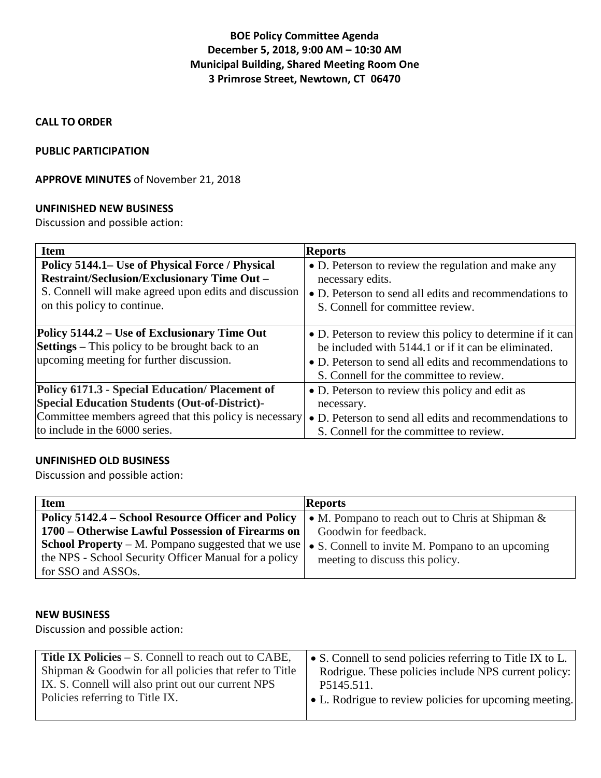## **BOE Policy Committee Agenda December 5, 2018, 9:00 AM – 10:30 AM Municipal Building, Shared Meeting Room One 3 Primrose Street, Newtown, CT 06470**

### **CALL TO ORDER**

#### **PUBLIC PARTICIPATION**

### **APPROVE MINUTES** of November 21, 2018

#### **UNFINISHED NEW BUSINESS**

Discussion and possible action:

| <b>Item</b>                                                                                                                                        | <b>Reports</b>                                                                                                                                                                                                         |
|----------------------------------------------------------------------------------------------------------------------------------------------------|------------------------------------------------------------------------------------------------------------------------------------------------------------------------------------------------------------------------|
| Policy 5144.1– Use of Physical Force / Physical                                                                                                    | • D. Peterson to review the regulation and make any                                                                                                                                                                    |
| <b>Restraint/Seclusion/Exclusionary Time Out -</b>                                                                                                 | necessary edits.                                                                                                                                                                                                       |
| S. Connell will make agreed upon edits and discussion                                                                                              | • D. Peterson to send all edits and recommendations to                                                                                                                                                                 |
| on this policy to continue.                                                                                                                        | S. Connell for committee review.                                                                                                                                                                                       |
| Policy 5144.2 – Use of Exclusionary Time Out<br><b>Settings</b> – This policy to be brought back to an<br>upcoming meeting for further discussion. | • D. Peterson to review this policy to determine if it can<br>be included with 5144.1 or if it can be eliminated.<br>• D. Peterson to send all edits and recommendations to<br>S. Connell for the committee to review. |
| Policy 6171.3 - Special Education/Placement of                                                                                                     | • D. Peterson to review this policy and edit as                                                                                                                                                                        |
| <b>Special Education Students (Out-of-District)-</b>                                                                                               | necessary.                                                                                                                                                                                                             |
| Committee members agreed that this policy is necessary                                                                                             | • D. Peterson to send all edits and recommendations to                                                                                                                                                                 |
| to include in the 6000 series.                                                                                                                     | S. Connell for the committee to review.                                                                                                                                                                                |

## **UNFINISHED OLD BUSINESS**

Discussion and possible action:

| <b>Item</b>                                               | <b>Reports</b>                                     |
|-----------------------------------------------------------|----------------------------------------------------|
| Policy 5142.4 – School Resource Officer and Policy        | • M. Pompano to reach out to Chris at Shipman $\&$ |
| 1700 – Otherwise Lawful Possession of Firearms on         | Goodwin for feedback.                              |
| <b>School Property</b> – M. Pompano suggested that we use | • S. Connell to invite M. Pompano to an upcoming   |
| the NPS - School Security Officer Manual for a policy     | meeting to discuss this policy.                    |
| for SSO and ASSOs.                                        |                                                    |

#### **NEW BUSINESS**

Discussion and possible action:

| <b>Title IX Policies – S. Connell to reach out to CABE,</b> | • S. Connell to send policies referring to Title IX to L.      |
|-------------------------------------------------------------|----------------------------------------------------------------|
| Shipman & Goodwin for all policies that refer to Title      | Rodrigue. These policies include NPS current policy:           |
| IX. S. Connell will also print out our current NPS          | P5145.511.                                                     |
| Policies referring to Title IX.                             | $\bullet$ L. Rodrigue to review policies for upcoming meeting. |